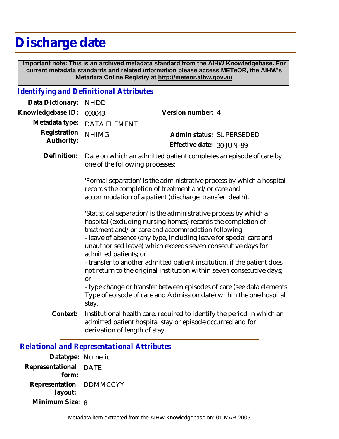## **Discharge date**

 **Important note: This is an archived metadata standard from the AIHW Knowledgebase. For current metadata standards and related information please access METeOR, the AIHW's Metadata Online Registry at http://meteor.aihw.gov.au**

## *Identifying and Definitional Attributes*

| Data Dictionary:           | <b>NHDD</b>                                                                                                                                                                                                                                                                                                                                                                                                                                                                                                                                                                                                                                                                      |                                                                                                                                      |
|----------------------------|----------------------------------------------------------------------------------------------------------------------------------------------------------------------------------------------------------------------------------------------------------------------------------------------------------------------------------------------------------------------------------------------------------------------------------------------------------------------------------------------------------------------------------------------------------------------------------------------------------------------------------------------------------------------------------|--------------------------------------------------------------------------------------------------------------------------------------|
| Knowledgebase ID:          | 000043                                                                                                                                                                                                                                                                                                                                                                                                                                                                                                                                                                                                                                                                           | Version number: 4                                                                                                                    |
| Metadata type:             | <b>DATA ELEMENT</b>                                                                                                                                                                                                                                                                                                                                                                                                                                                                                                                                                                                                                                                              |                                                                                                                                      |
| Registration<br>Authority: | <b>NHIMG</b>                                                                                                                                                                                                                                                                                                                                                                                                                                                                                                                                                                                                                                                                     | Admin status: SUPERSEDED<br>Effective date: 30-JUN-99                                                                                |
| Definition:                | Date on which an admitted patient completes an episode of care by<br>one of the following processes:                                                                                                                                                                                                                                                                                                                                                                                                                                                                                                                                                                             |                                                                                                                                      |
|                            | 'Formal separation' is the administrative process by which a hospital<br>records the completion of treatment and/or care and<br>accommodation of a patient (discharge, transfer, death).                                                                                                                                                                                                                                                                                                                                                                                                                                                                                         |                                                                                                                                      |
|                            | 'Statistical separation' is the administrative process by which a<br>hospital (excluding nursing homes) records the completion of<br>treatment and/or care and accommodation following:<br>- leave of absence (any type, including leave for special care and<br>unauthorised leave) which exceeds seven consecutive days for<br>admitted patients; or<br>- transfer to another admitted patient institution, if the patient does<br>not return to the original institution within seven consecutive days;<br><b>or</b><br>- type change or transfer between episodes of care (see data elements<br>Type of episode of care and Admission date) within the one hospital<br>stay. |                                                                                                                                      |
| Context:                   | derivation of length of stay.                                                                                                                                                                                                                                                                                                                                                                                                                                                                                                                                                                                                                                                    | Institutional health care: required to identify the period in which an<br>admitted patient hospital stay or episode occurred and for |

## *Relational and Representational Attributes*

**Datatype:** Numeric **Representational** DATE  **form: Representation** DDMMCCYY  **layout: Minimum Size:** 8